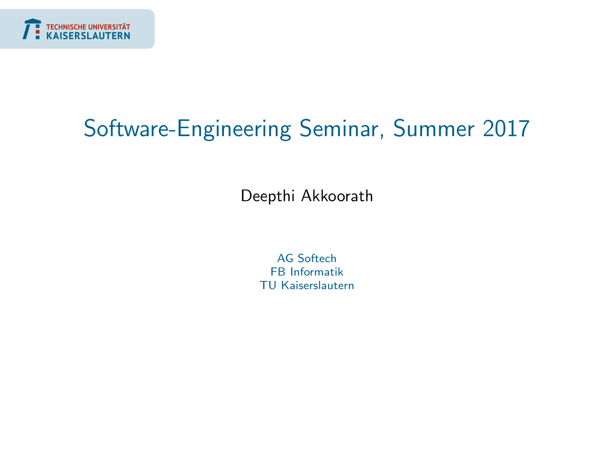<span id="page-0-0"></span>

# Software-Engineering Seminar, Summer 2017

Deepthi Akkoorath

AG Softech FB Informatik TU Kaiserslautern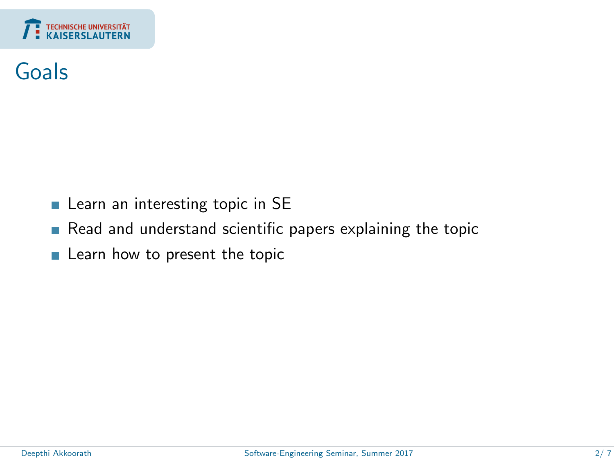

#### Goals

- Learn an interesting topic in SE
- Read and understand scientific papers explaining the topic
- **Learn how to present the topic**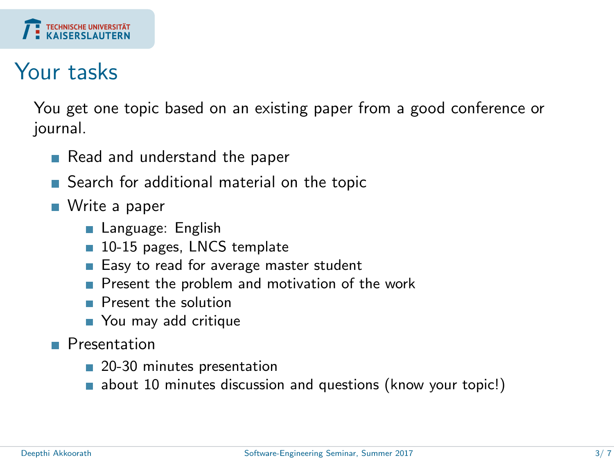

#### Your tasks

You get one topic based on an existing paper from a good conference or journal.

- Read and understand the paper
- Search for additional material on the topic
- Write a paper
	- Language: English
	- 10-15 pages, LNCS template
	- Easy to read for average master student
	- Present the problem and motivation of the work
	- **Present the solution**
	- You may add critique
- **Presentation** 
	- 20-30 minutes presentation
	- **a** about 10 minutes discussion and questions (know your topic!)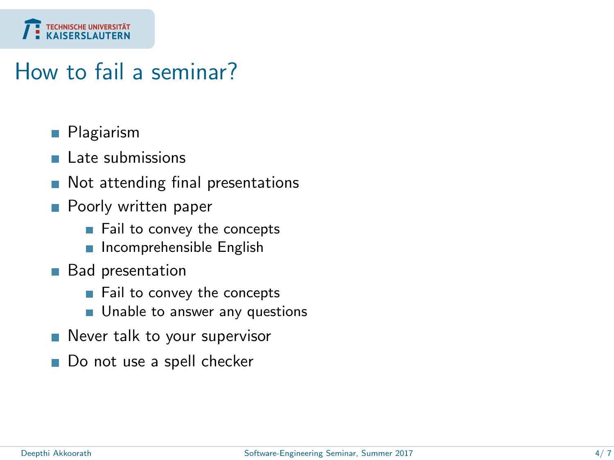

### How to fail a seminar?

- **Plagiarism**
- $\blacksquare$  Late submissions
- Not attending final presentations П
- **Poorly written paper** 
	- Fail to convey the concepts
	- $\blacksquare$  Incomprehensible English
- **Bad presentation** 
	- Fail to convey the concepts
	- **Unable to answer any questions**
- Never talk to your supervisor
- Do not use a spell checker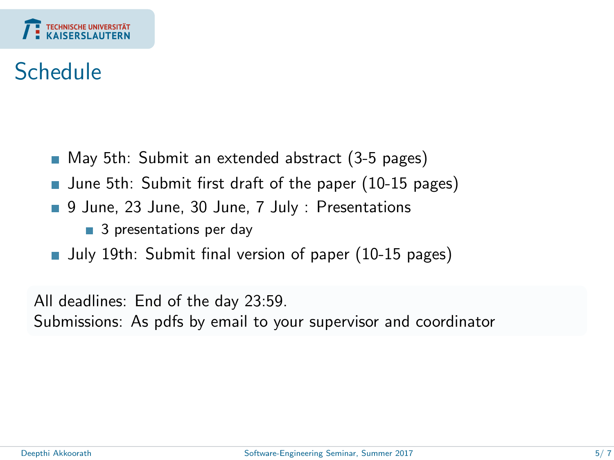

### Schedule

- May 5th: Submit an extended abstract (3-5 pages)
- **June 5th: Submit first draft of the paper (10-15 pages)**
- 9 June, 23 June, 30 June, 7 July : Presentations
	- 3 presentations per day
- Uuly 19th: Submit final version of paper (10-15 pages)

All deadlines: End of the day 23:59.

Submissions: As pdfs by email to your supervisor and coordinator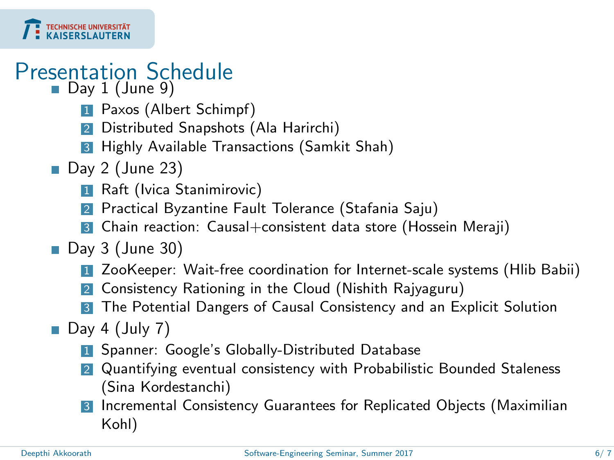

# Presentation Schedule

- Day 1 (June 9)
	- **1** Paxos (Albert Schimpf)
	- 2 Distributed Snapshots (Ala Harirchi)
	- 3 Highly Available Transactions (Samkit Shah)
- $\blacksquare$  Day 2 (June 23)
	- **1** Raft (Ivica Stanimirovic)
	- Practical Byzantine Fault Tolerance (Stafania Saju)
	- 3 Chain reaction: Causal+consistent data store (Hossein Meraji)
- $\blacksquare$  Day 3 (June 30)
	- 1 ZooKeeper: Wait-free coordination for Internet-scale systems (Hlib Babii)
	- 2 Consistency Rationing in the Cloud (Nishith Rajyaguru)
	- 3 The Potential Dangers of Causal Consistency and an Explicit Solution
- $\Box$  Day 4 (July 7)
	- **1** Spanner: Google's Globally-Distributed Database
	- 2 Quantifying eventual consistency with Probabilistic Bounded Staleness (Sina Kordestanchi)
	- 3 Incremental Consistency Guarantees for Replicated Objects (Maximilian Kohl)